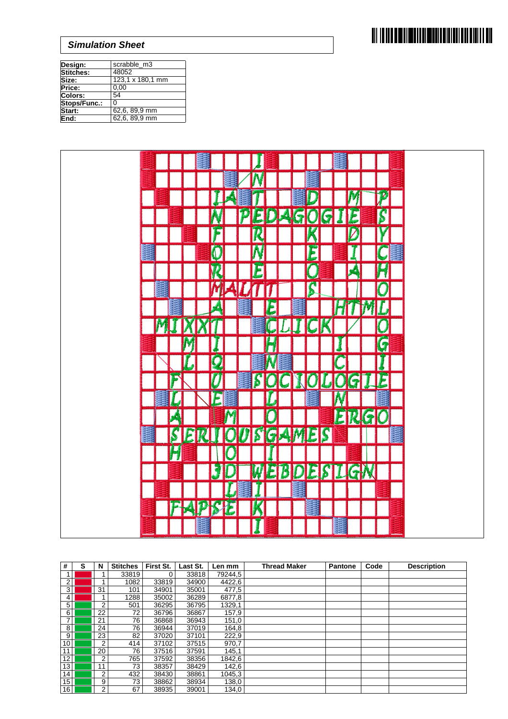

| Design:        | scrabble_m3      |
|----------------|------------------|
| Stitches:      | 48052            |
| Size:          | 123,1 x 180,1 mm |
| Price:         | 0.00             |
| <b>Colors:</b> | 54               |
| Stops/Func.:   | U                |
| Start:         | 62,6, 89,9 mm    |
| End:           | 62,6, 89,9 mm    |



| #               | S | N              | <b>Stitches</b> | First St. | Last St. | Len mm  | <b>Thread Maker</b> | <b>Pantone</b> | Code | <b>Description</b> |
|-----------------|---|----------------|-----------------|-----------|----------|---------|---------------------|----------------|------|--------------------|
|                 |   |                | 33819           | 0         | 33818    | 79244,5 |                     |                |      |                    |
| 2               |   |                | 1082            | 33819     | 34900    | 4422,6  |                     |                |      |                    |
| 3               |   | 31             | 101             | 34901     | 35001    | 477,5   |                     |                |      |                    |
| $\overline{4}$  |   |                | 1288            | 35002     | 36289    | 6877,8  |                     |                |      |                    |
| 5               |   | 2              | 501             | 36295     | 36795    | 1329,1  |                     |                |      |                    |
| 6               |   | 22             | 72              | 36796     | 36867    | 157,9   |                     |                |      |                    |
|                 |   | 21             | 76              | 36868     | 36943    | 151,0   |                     |                |      |                    |
| 8               |   | 24             | 76              | 36944     | 37019    | 164,8   |                     |                |      |                    |
| 9               |   | 23             | 82              | 37020     | 37101    | 222,9   |                     |                |      |                    |
| 10 <sup>1</sup> |   | 2              | 414             | 37102     | 37515    | 970,7   |                     |                |      |                    |
| 11              |   | 20             | 76              | 37516     | 37591    | 145,1   |                     |                |      |                    |
| 12              |   | $\overline{2}$ | 765             | 37592     | 38356    | 1842,6  |                     |                |      |                    |
| 13              |   | 11             | 73              | 38357     | 38429    | 142,6   |                     |                |      |                    |
| 14              |   | 2              | 432             | 38430     | 38861    | 1045,3  |                     |                |      |                    |
| 15              |   | 9              | 73              | 38862     | 38934    | 138,0   |                     |                |      |                    |
| 16              |   | $\overline{2}$ | 67              | 38935     | 39001    | 134,0   |                     |                |      |                    |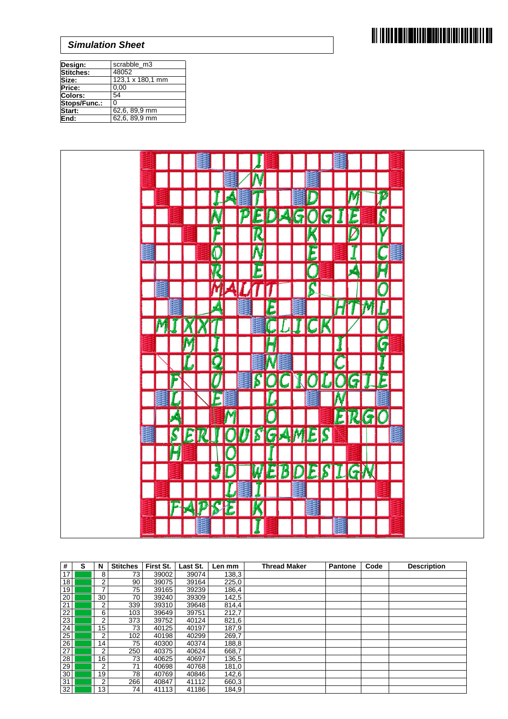

| Design:        | scrabble_m3      |
|----------------|------------------|
| Stitches:      | 48052            |
| Size:          | 123,1 x 180,1 mm |
| Price:         | 0.00             |
| <b>Colors:</b> | 54               |
| Stops/Func.:   | U                |
| Start:         | 62,6, 89,9 mm    |
| End:           | 62,6, 89,9 mm    |



| #               | s | N              | <b>Stitches</b> | First St. | Last St. | Len mm | <b>Thread Maker</b> | <b>Pantone</b> | Code | <b>Description</b> |
|-----------------|---|----------------|-----------------|-----------|----------|--------|---------------------|----------------|------|--------------------|
| 17              |   | 8              | 73              | 39002     | 39074    | 138,3  |                     |                |      |                    |
| 18              |   | 2              | 90              | 39075     | 39164    | 225,0  |                     |                |      |                    |
| 19              |   | 7              | 75              | 39165     | 39239    | 186,4  |                     |                |      |                    |
| 20              |   | 30             | 70              | 39240     | 39309    | 142,5  |                     |                |      |                    |
| 21              |   | $\overline{2}$ | 339             | 39310     | 39648    | 814,4  |                     |                |      |                    |
| 22              |   | 6              | 103             | 39649     | 39751    | 212.7  |                     |                |      |                    |
| 23              |   | 2              | 373             | 39752     | 40124    | 821,6  |                     |                |      |                    |
| 24              |   | 15             | 73 <sub>1</sub> | 40125     | 40197    | 187,9  |                     |                |      |                    |
| 25              |   | 2              | 102             | 40198     | 40299    | 269,7  |                     |                |      |                    |
| 26              |   | 14             | 75 <sub>1</sub> | 40300     | 40374    | 188,8  |                     |                |      |                    |
| 27              |   | $\overline{2}$ | 250             | 40375     | 40624    | 668,7  |                     |                |      |                    |
| 28              |   | 16             | 73              | 40625     | 40697    | 136,5  |                     |                |      |                    |
| 29              |   | 2              | 71              | 40698     | 40768    | 181,0  |                     |                |      |                    |
| 30 <sup>°</sup> |   | 19             | 78              | 40769     | 40846    | 142,6  |                     |                |      |                    |
| 31              |   | 2              | 266             | 40847     | 41112    | 660,3  |                     |                |      |                    |
| 32              |   | 13             | 74              | 41113     | 41186    | 184.9  |                     |                |      |                    |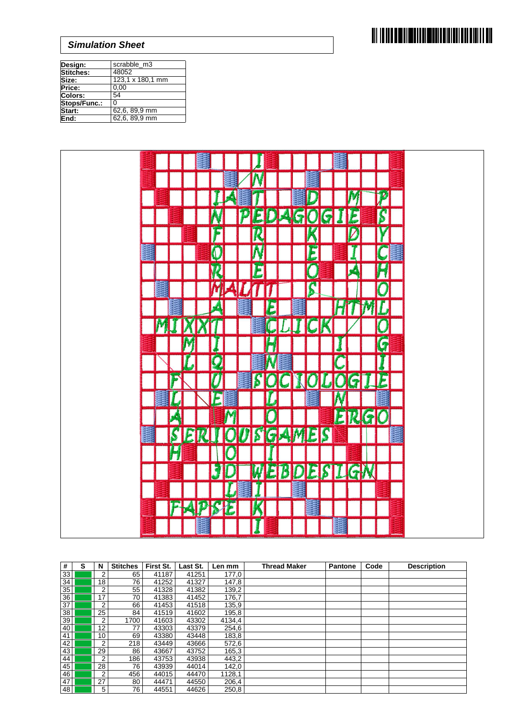

| Design:        | scrabble_m3      |
|----------------|------------------|
| Stitches:      | 48052            |
| Size:          | 123,1 x 180,1 mm |
| Price:         | 0.00             |
| <b>Colors:</b> | 54               |
| Stops/Func.:   | U                |
| Start:         | 62,6, 89,9 mm    |
| End:           | 62,6, 89,9 mm    |



| #  | s | N  | <b>Stitches</b> | First St. | Last St. | Len mm | <b>Thread Maker</b> | <b>Pantone</b> | Code | <b>Description</b> |
|----|---|----|-----------------|-----------|----------|--------|---------------------|----------------|------|--------------------|
| 33 |   | 2  | 65              | 41187     | 41251    | 177,0  |                     |                |      |                    |
| 34 |   | 18 | 76              | 41252     | 41327    | 147,8  |                     |                |      |                    |
| 35 |   | 2  | 55              | 41328     | 41382    | 139,2  |                     |                |      |                    |
| 36 |   | 17 | 70              | 41383     | 41452    | 176.7  |                     |                |      |                    |
| 37 |   | 2  | 66              | 41453     | 41518    | 135,9  |                     |                |      |                    |
| 38 |   | 25 | 84              | 41519     | 41602    | 195,8  |                     |                |      |                    |
| 39 |   | 2  | 1700            | 41603     | 43302    | 4134,4 |                     |                |      |                    |
| 40 |   | 12 | 77              | 43303     | 43379    | 254,6  |                     |                |      |                    |
| 41 |   | 10 | 69              | 43380     | 43448    | 183,8  |                     |                |      |                    |
| 42 |   | 2  | 218             | 43449     | 43666    | 572,6  |                     |                |      |                    |
| 43 |   | 29 | 86              | 43667     | 43752    | 165,3  |                     |                |      |                    |
| 44 |   | 2  | 186             | 43753     | 43938    | 443,2  |                     |                |      |                    |
| 45 |   | 28 | 76              | 43939     | 44014    | 142,0  |                     |                |      |                    |
| 46 |   | 2  | 456             | 44015     | 44470    | 1128,1 |                     |                |      |                    |
| 47 |   | 27 | 80              | 44471     | 44550    | 206,4  |                     |                |      |                    |
| 48 |   | 5  | 76              | 44551     | 44626    | 250,8  |                     |                |      |                    |